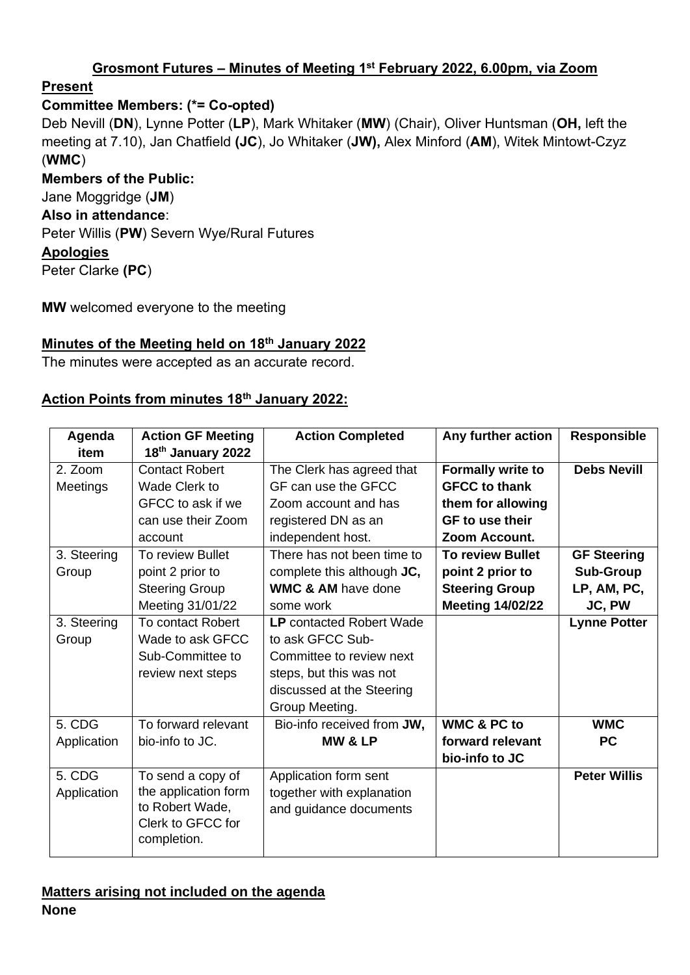### **Grosmont Futures – Minutes of Meeting 1 st February 2022, 6.00pm, via Zoom**

# **Present**

# **Committee Members: (\*= Co-opted)**

Deb Nevill (**DN**), Lynne Potter (**LP**), Mark Whitaker (**MW**) (Chair), Oliver Huntsman (**OH,** left the meeting at 7.10), Jan Chatfield **(JC**), Jo Whitaker (**JW),** Alex Minford (**AM**), Witek Mintowt-Czyz (**WMC**)

**Members of the Public:** Jane Moggridge (**JM**) **Also in attendance**: Peter Willis (**PW**) Severn Wye/Rural Futures **Apologies**

Peter Clarke **(PC**)

**MW** welcomed everyone to the meeting

### **Minutes of the Meeting held on 18th January 2022**

The minutes were accepted as an accurate record.

### **Action Points from minutes 18th January 2022:**

| Agenda      | <b>Action GF Meeting</b> | <b>Action Completed</b>         | Any further action       | <b>Responsible</b>  |
|-------------|--------------------------|---------------------------------|--------------------------|---------------------|
| item        | 18th January 2022        |                                 |                          |                     |
| 2. Zoom     | <b>Contact Robert</b>    | The Clerk has agreed that       | <b>Formally write to</b> | <b>Debs Nevill</b>  |
| Meetings    | Wade Clerk to            | GF can use the GFCC             | <b>GFCC to thank</b>     |                     |
|             | GFCC to ask if we        | Zoom account and has            | them for allowing        |                     |
|             | can use their Zoom       | registered DN as an             | <b>GF</b> to use their   |                     |
|             | account                  | independent host.               | Zoom Account.            |                     |
| 3. Steering | To review Bullet         | There has not been time to      | <b>To review Bullet</b>  | <b>GF Steering</b>  |
| Group       | point 2 prior to         | complete this although JC,      | point 2 prior to         | <b>Sub-Group</b>    |
|             | <b>Steering Group</b>    | <b>WMC &amp; AM have done</b>   | <b>Steering Group</b>    | LP, AM, PC,         |
|             | Meeting 31/01/22         | some work                       | <b>Meeting 14/02/22</b>  | JC, PW              |
| 3. Steering | <b>To contact Robert</b> | <b>LP</b> contacted Robert Wade |                          | <b>Lynne Potter</b> |
| Group       | Wade to ask GFCC         | to ask GFCC Sub-                |                          |                     |
|             | Sub-Committee to         | Committee to review next        |                          |                     |
|             | review next steps        | steps, but this was not         |                          |                     |
|             |                          | discussed at the Steering       |                          |                     |
|             |                          | Group Meeting.                  |                          |                     |
| 5. CDG      | To forward relevant      | Bio-info received from JW,      | <b>WMC &amp; PC to</b>   | <b>WMC</b>          |
| Application | bio-info to JC.          | <b>MW &amp; LP</b>              | forward relevant         | <b>PC</b>           |
|             |                          |                                 | bio-info to JC           |                     |
| 5. CDG      | To send a copy of        | Application form sent           |                          | <b>Peter Willis</b> |
| Application | the application form     | together with explanation       |                          |                     |
|             | to Robert Wade,          | and guidance documents          |                          |                     |
|             | Clerk to GFCC for        |                                 |                          |                     |
|             | completion.              |                                 |                          |                     |

#### **Matters arising not included on the agenda None**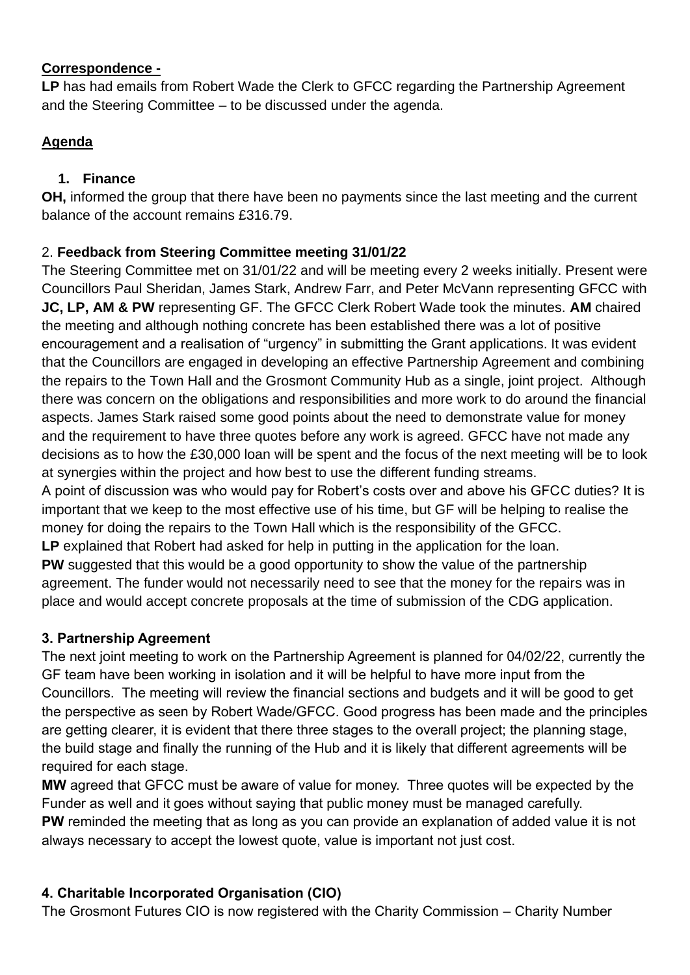### **Correspondence -**

**LP** has had emails from Robert Wade the Clerk to GFCC regarding the Partnership Agreement and the Steering Committee – to be discussed under the agenda.

# **Agenda**

# **1. Finance**

**OH,** informed the group that there have been no payments since the last meeting and the current balance of the account remains £316.79.

# 2. **Feedback from Steering Committee meeting 31/01/22**

The Steering Committee met on 31/01/22 and will be meeting every 2 weeks initially. Present were Councillors Paul Sheridan, James Stark, Andrew Farr, and Peter McVann representing GFCC with **JC, LP, AM & PW** representing GF. The GFCC Clerk Robert Wade took the minutes. **AM** chaired the meeting and although nothing concrete has been established there was a lot of positive encouragement and a realisation of "urgency" in submitting the Grant applications. It was evident that the Councillors are engaged in developing an effective Partnership Agreement and combining the repairs to the Town Hall and the Grosmont Community Hub as a single, joint project. Although there was concern on the obligations and responsibilities and more work to do around the financial aspects. James Stark raised some good points about the need to demonstrate value for money and the requirement to have three quotes before any work is agreed. GFCC have not made any decisions as to how the £30,000 loan will be spent and the focus of the next meeting will be to look at synergies within the project and how best to use the different funding streams.

A point of discussion was who would pay for Robert's costs over and above his GFCC duties? It is important that we keep to the most effective use of his time, but GF will be helping to realise the money for doing the repairs to the Town Hall which is the responsibility of the GFCC.

LP explained that Robert had asked for help in putting in the application for the loan.

**PW** suggested that this would be a good opportunity to show the value of the partnership agreement. The funder would not necessarily need to see that the money for the repairs was in place and would accept concrete proposals at the time of submission of the CDG application.

# **3. Partnership Agreement**

The next joint meeting to work on the Partnership Agreement is planned for 04/02/22, currently the GF team have been working in isolation and it will be helpful to have more input from the Councillors. The meeting will review the financial sections and budgets and it will be good to get the perspective as seen by Robert Wade/GFCC. Good progress has been made and the principles are getting clearer, it is evident that there three stages to the overall project; the planning stage, the build stage and finally the running of the Hub and it is likely that different agreements will be required for each stage.

**MW** agreed that GFCC must be aware of value for money. Three quotes will be expected by the Funder as well and it goes without saying that public money must be managed carefully. **PW** reminded the meeting that as long as you can provide an explanation of added value it is not always necessary to accept the lowest quote, value is important not just cost.

# **4. Charitable Incorporated Organisation (CIO)**

The Grosmont Futures CIO is now registered with the Charity Commission – Charity Number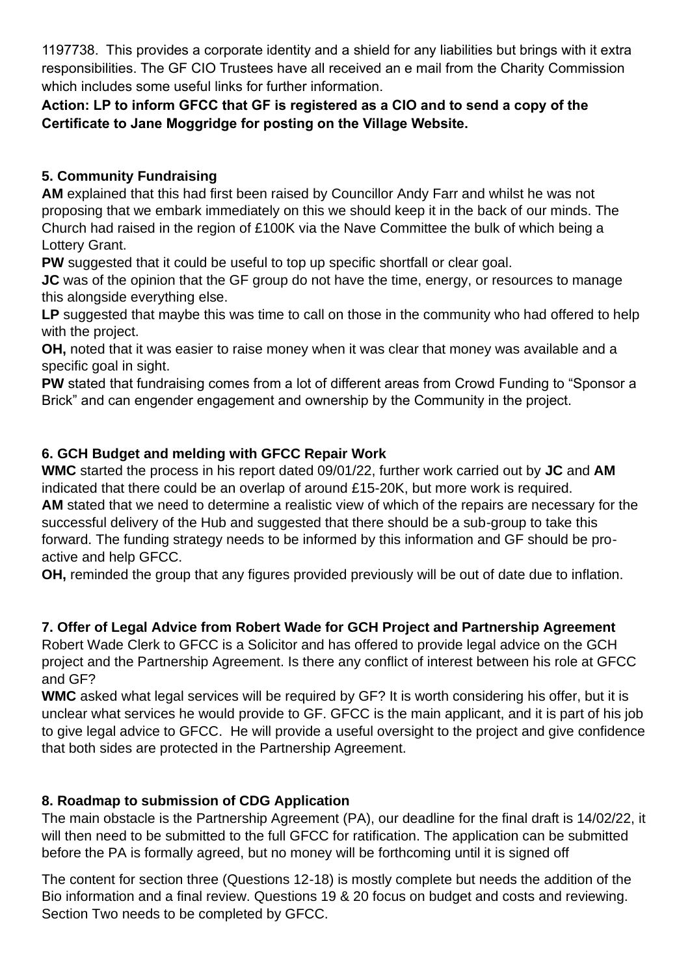1197738. This provides a corporate identity and a shield for any liabilities but brings with it extra responsibilities. The GF CIO Trustees have all received an e mail from the Charity Commission which includes some useful links for further information.

**Action: LP to inform GFCC that GF is registered as a CIO and to send a copy of the Certificate to Jane Moggridge for posting on the Village Website.**

# **5. Community Fundraising**

**AM** explained that this had first been raised by Councillor Andy Farr and whilst he was not proposing that we embark immediately on this we should keep it in the back of our minds. The Church had raised in the region of £100K via the Nave Committee the bulk of which being a Lottery Grant.

**PW** suggested that it could be useful to top up specific shortfall or clear goal.

**JC** was of the opinion that the GF group do not have the time, energy, or resources to manage this alongside everything else.

LP suggested that maybe this was time to call on those in the community who had offered to help with the project.

**OH,** noted that it was easier to raise money when it was clear that money was available and a specific goal in sight.

**PW** stated that fundraising comes from a lot of different areas from Crowd Funding to "Sponsor a Brick" and can engender engagement and ownership by the Community in the project.

# **6. GCH Budget and melding with GFCC Repair Work**

**WMC** started the process in his report dated 09/01/22, further work carried out by **JC** and **AM**  indicated that there could be an overlap of around £15-20K, but more work is required. **AM** stated that we need to determine a realistic view of which of the repairs are necessary for the successful delivery of the Hub and suggested that there should be a sub-group to take this forward. The funding strategy needs to be informed by this information and GF should be proactive and help GFCC.

**OH,** reminded the group that any figures provided previously will be out of date due to inflation.

# **7. Offer of Legal Advice from Robert Wade for GCH Project and Partnership Agreement**

Robert Wade Clerk to GFCC is a Solicitor and has offered to provide legal advice on the GCH project and the Partnership Agreement. Is there any conflict of interest between his role at GFCC and GF?

**WMC** asked what legal services will be required by GF? It is worth considering his offer, but it is unclear what services he would provide to GF. GFCC is the main applicant, and it is part of his job to give legal advice to GFCC. He will provide a useful oversight to the project and give confidence that both sides are protected in the Partnership Agreement.

# **8. Roadmap to submission of CDG Application**

The main obstacle is the Partnership Agreement (PA), our deadline for the final draft is 14/02/22, it will then need to be submitted to the full GFCC for ratification. The application can be submitted before the PA is formally agreed, but no money will be forthcoming until it is signed off

The content for section three (Questions 12-18) is mostly complete but needs the addition of the Bio information and a final review. Questions 19 & 20 focus on budget and costs and reviewing. Section Two needs to be completed by GFCC.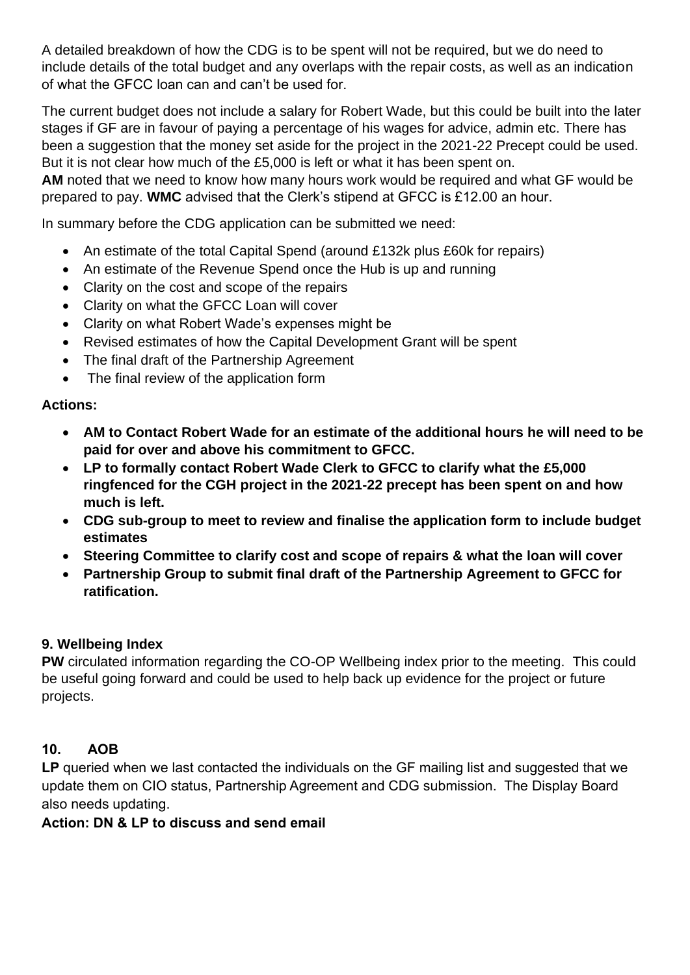A detailed breakdown of how the CDG is to be spent will not be required, but we do need to include details of the total budget and any overlaps with the repair costs, as well as an indication of what the GFCC loan can and can't be used for.

The current budget does not include a salary for Robert Wade, but this could be built into the later stages if GF are in favour of paying a percentage of his wages for advice, admin etc. There has been a suggestion that the money set aside for the project in the 2021-22 Precept could be used. But it is not clear how much of the £5,000 is left or what it has been spent on.

**AM** noted that we need to know how many hours work would be required and what GF would be prepared to pay. **WMC** advised that the Clerk's stipend at GFCC is £12.00 an hour.

In summary before the CDG application can be submitted we need:

- An estimate of the total Capital Spend (around £132k plus £60k for repairs)
- An estimate of the Revenue Spend once the Hub is up and running
- Clarity on the cost and scope of the repairs
- Clarity on what the GFCC Loan will cover
- Clarity on what Robert Wade's expenses might be
- Revised estimates of how the Capital Development Grant will be spent
- The final draft of the Partnership Agreement
- The final review of the application form

### **Actions:**

- **AM to Contact Robert Wade for an estimate of the additional hours he will need to be paid for over and above his commitment to GFCC.**
- **LP to formally contact Robert Wade Clerk to GFCC to clarify what the £5,000 ringfenced for the CGH project in the 2021-22 precept has been spent on and how much is left.**
- **CDG sub-group to meet to review and finalise the application form to include budget estimates**
- **Steering Committee to clarify cost and scope of repairs & what the loan will cover**
- **Partnership Group to submit final draft of the Partnership Agreement to GFCC for ratification.**

### **9. Wellbeing Index**

**PW** circulated information regarding the CO-OP Wellbeing index prior to the meeting. This could be useful going forward and could be used to help back up evidence for the project or future projects.

# **10. AOB**

LP queried when we last contacted the individuals on the GF mailing list and suggested that we update them on CIO status, Partnership Agreement and CDG submission. The Display Board also needs updating.

### **Action: DN & LP to discuss and send email**